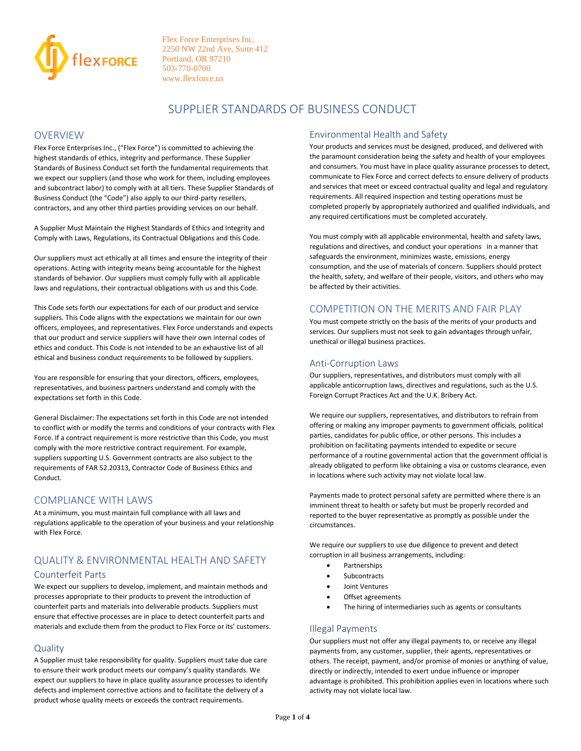

# SUPPLIER STANDARDS OF BUSINESS CONDUCT

### OVERVIEW

Flex Force Enterprises Inc., ("Flex Force") is committed to achieving the highest standards of ethics, integrity and performance. These Supplier Standards of Business Conduct set forth the fundamental requirements that we expect our suppliers (and those who work for them, including employees and subcontract labor) to comply with at all tiers. These Supplier Standards of Business Conduct (the "Code") also apply to our third-party resellers, contractors, and any other third parties providing services on our behalf.

A Supplier Must Maintain the Highest Standards of Ethics and Integrity and Comply with Laws, Regulations, its Contractual Obligations and this Code.

Our suppliers must act ethically at all times and ensure the integrity of their operations. Acting with integrity means being accountable for the highest standards of behavior. Our suppliers must comply fully with all applicable laws and regulations, their contractual obligations with us and this Code.

This Code sets forth our expectations for each of our product and service suppliers. This Code aligns with the expectations we maintain for our own officers, employees, and representatives. Flex Force understands and expects that our product and service suppliers will have their own internal codes of ethics and conduct. This Code is not intended to be an exhaustive list of all ethical and business conduct requirements to be followed by suppliers.

You are responsible for ensuring that your directors, officers, employees, representatives, and business partners understand and comply with the expectations set forth in this Code.

General Disclaimer: The expectations set forth in this Code are not intended to conflict with or modify the terms and conditions of your contracts with Flex Force. If a contract requirement is more restrictive than this Code, you must comply with the more restrictive contract requirement. For example, suppliers supporting U.S. Government contracts are also subject to the requirements of FAR 52.20313, Contractor Code of Business Ethics and Conduct.

### COMPLIANCE WITH LAWS

At a minimum, you must maintain full compliance with all laws and regulations applicable to the operation of your business and your relationship with Flex Force.

## QUALITY & ENVIRONMENTAL HEALTH AND SAFETY Counterfeit Parts

We expect our suppliers to develop, implement, and maintain methods and processes appropriate to their products to prevent the introduction of counterfeit parts and materials into deliverable products. Suppliers must ensure that effective processes are in place to detect counterfeit parts and materials and exclude them from the product to Flex Force or its' customers.

### **Quality**

A Supplier must take responsibility for quality. Suppliers must take due care to ensure their work product meets our company's quality standards. We expect our suppliers to have in place quality assurance processes to identify defects and implement corrective actions and to facilitate the delivery of a product whose quality meets or exceeds the contract requirements.

### Environmental Health and Safety

Your products and services must be designed, produced, and delivered with the paramount consideration being the safety and health of your employees and consumers. You must have in place quality assurance processes to detect, communicate to Flex Force and correct defects to ensure delivery of products and services that meet or exceed contractual quality and legal and regulatory requirements. All required inspection and testing operations must be completed properly by appropriately authorized and qualified individuals, and any required certifications must be completed accurately.

You must comply with all applicable environmental, health and safety laws, regulations and directives, and conduct your operations in a manner that safeguards the environment, minimizes waste, emissions, energy consumption, and the use of materials of concern. Suppliers should protect the health, safety, and welfare of their people, visitors, and others who may be affected by their activities.

## COMPETITION ON THE MERITS AND FAIR PLAY

You must compete strictly on the basis of the merits of your products and services. Our suppliers must not seek to gain advantages through unfair, unethical or illegal business practices.

#### Anti-Corruption Laws

Our suppliers, representatives, and distributors must comply with all applicable anticorruption laws, directives and regulations, such as the U.S. Foreign Corrupt Practices Act and the U.K. Bribery Act.

We require our suppliers, representatives, and distributors to refrain from offering or making any improper payments to government officials, political parties, candidates for public office, or other persons. This includes a prohibition on facilitating payments intended to expedite or secure performance of a routine governmental action that the government official is already obligated to perform like obtaining a visa or customs clearance, even in locations where such activity may not violate local law.

Payments made to protect personal safety are permitted where there is an imminent threat to health or safety but must be properly recorded and reported to the buyer representative as promptly as possible under the circumstances.

We require our suppliers to use due diligence to prevent and detect corruption in all business arrangements, including:

- Partnerships
- **Subcontracts**
- Joint Ventures
- Offset agreements
- The hiring of intermediaries such as agents or consultants

### Illegal Payments

Our suppliers must not offer any illegal payments to, or receive any illegal payments from, any customer, supplier, their agents, representatives or others. The receipt, payment, and/or promise of monies or anything of value, directly or indirectly, intended to exert undue influence or improper advantage is prohibited. This prohibition applies even in locations where such activity may not violate local law.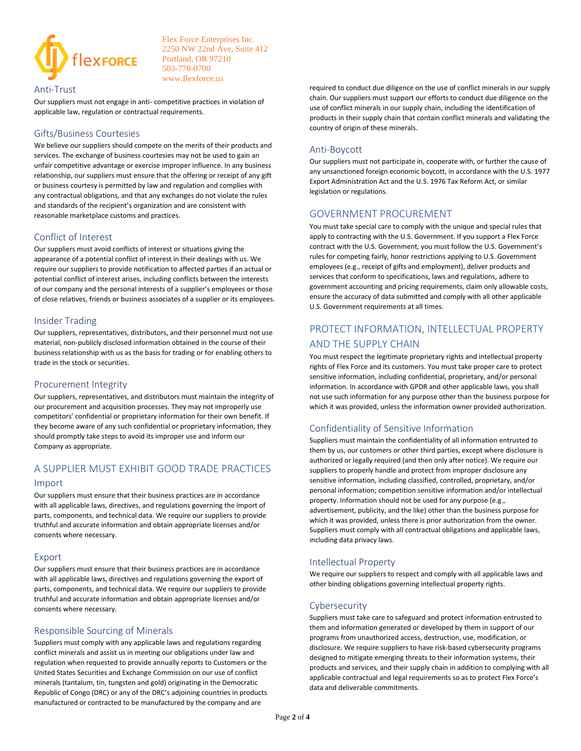

#### Anti-Trust

Our suppliers must not engage in anti- competitive practices in violation of applicable law, regulation or contractual requirements.

## Gifts/Business Courtesies

We believe our suppliers should compete on the merits of their products and services. The exchange of business courtesies may not be used to gain an unfair competitive advantage or exercise improper influence. In any business relationship, our suppliers must ensure that the offering or receipt of any gift or business courtesy is permitted by law and regulation and complies with any contractual obligations, and that any exchanges do not violate the rules and standards of the recipient's organization and are consistent with reasonable marketplace customs and practices.

## Conflict of Interest

Our suppliers must avoid conflicts of interest or situations giving the appearance of a potential conflict of interest in their dealings with us. We require our suppliers to provide notification to affected parties if an actual or potential conflict of interest arises, including conflicts between the interests of our company and the personal interests of a supplier's employees or those of close relatives, friends or business associates of a supplier or its employees.

### Insider Trading

Our suppliers, representatives, distributors, and their personnel must not use material, non-publicly disclosed information obtained in the course of their business relationship with us as the basis for trading or for enabling others to trade in the stock or securities.

#### Procurement Integrity

Our suppliers, representatives, and distributors must maintain the integrity of our procurement and acquisition processes. They may not improperly use competitors' confidential or proprietary information for their own benefit. If they become aware of any such confidential or proprietary information, they should promptly take steps to avoid its improper use and inform our Company as appropriate.

## A SUPPLIER MUST EXHIBIT GOOD TRADE PRACTICES Import

Our suppliers must ensure that their business practices are in accordance with all applicable laws, directives, and regulations governing the import of parts, components, and technical data. We require our suppliers to provide truthful and accurate information and obtain appropriate licenses and/or consents where necessary.

#### Export

Our suppliers must ensure that their business practices are in accordance with all applicable laws, directives and regulations governing the export of parts, components, and technical data. We require our suppliers to provide truthful and accurate information and obtain appropriate licenses and/or consents where necessary.

## Responsible Sourcing of Minerals

Suppliers must comply with any applicable laws and regulations regarding conflict minerals and assist us in meeting our obligations under law and regulation when requested to provide annually reports to Customers or the United States Securities and Exchange Commission on our use of conflict minerals (tantalum, tin, tungsten and gold) originating in the Democratic Republic of Congo (DRC) or any of the DRC's adjoining countries in products manufactured or contracted to be manufactured by the company and are

required to conduct due diligence on the use of conflict minerals in our supply chain. Our suppliers must support our efforts to conduct due diligence on the use of conflict minerals in our supply chain, including the identification of products in their supply chain that contain conflict minerals and validating the country of origin of these minerals.

### Anti-Boycott

Our suppliers must not participate in, cooperate with, or further the cause of any unsanctioned foreign economic boycott, in accordance with the U.S. 1977 Export Administration Act and the U.S. 1976 Tax Reform Act, or similar legislation or regulations.

## GOVERNMENT PROCUREMENT

You must take special care to comply with the unique and special rules that apply to contracting with the U.S. Government. If you support a Flex Force contract with the U.S. Government, you must follow the U.S. Government's rules for competing fairly, honor restrictions applying to U.S. Government employees (e.g., receipt of gifts and employment), deliver products and services that conform to specifications, laws and regulations, adhere to government accounting and pricing requirements, claim only allowable costs, ensure the accuracy of data submitted and comply with all other applicable U.S. Government requirements at all times.

# PROTECT INFORMATION, INTELLECTUAL PROPERTY AND THE SUPPLY CHAIN

You must respect the legitimate proprietary rights and intellectual property rights of Flex Force and its customers. You must take proper care to protect sensitive information, including confidential, proprietary, and/or personal information. In accordance with GPDR and other applicable laws, you shall not use such information for any purpose other than the business purpose for which it was provided, unless the information owner provided authorization.

## Confidentiality of Sensitive Information

Suppliers must maintain the confidentiality of all information entrusted to them by us, our customers or other third parties, except where disclosure is authorized or legally required (and then only after notice). We require our suppliers to properly handle and protect from improper disclosure any sensitive information, including classified, controlled, proprietary, and/or personal information; competition sensitive information and/or intellectual property. Information should not be used for any purpose (e.g., advertisement, publicity, and the like) other than the business purpose for which it was provided, unless there is prior authorization from the owner. Suppliers must comply with all contractual obligations and applicable laws, including data privacy laws.

### Intellectual Property

We require our suppliers to respect and comply with all applicable laws and other binding obligations governing intellectual property rights.

### Cybersecurity

Suppliers must take care to safeguard and protect information entrusted to them and information generated or developed by them in support of our programs from unauthorized access, destruction, use, modification, or disclosure. We require suppliers to have risk-based cybersecurity programs designed to mitigate emerging threats to their information systems, their products and services, and their supply chain in addition to complying with all applicable contractual and legal requirements so as to protect Flex Force's data and deliverable commitments.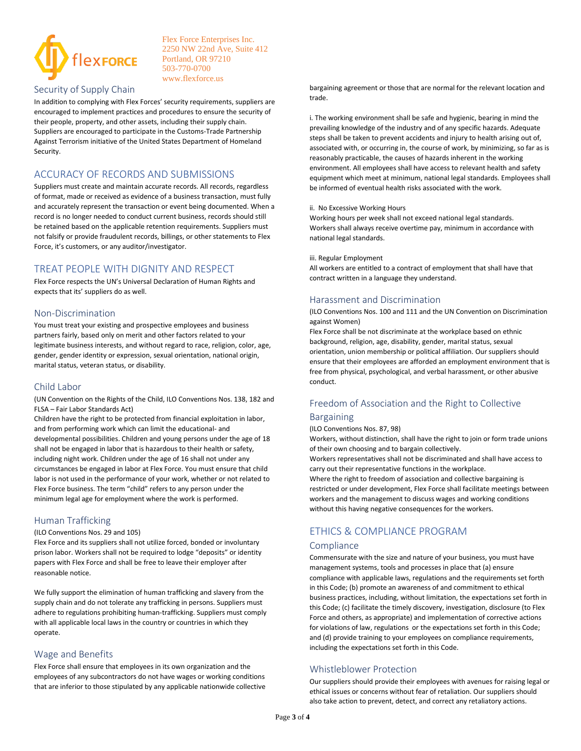

#### Security of Supply Chain

In addition to complying with Flex Forces' security requirements, suppliers are encouraged to implement practices and procedures to ensure the security of their people, property, and other assets, including their supply chain. Suppliers are encouraged to participate in the Customs-Trade Partnership Against Terrorism initiative of the United States Department of Homeland Security.

## ACCURACY OF RECORDS AND SUBMISSIONS

Suppliers must create and maintain accurate records. All records, regardless of format, made or received as evidence of a business transaction, must fully and accurately represent the transaction or event being documented. When a record is no longer needed to conduct current business, records should still be retained based on the applicable retention requirements. Suppliers must not falsify or provide fraudulent records, billings, or other statements to Flex Force, it's customers, or any auditor/investigator.

## TREAT PEOPLE WITH DIGNITY AND RESPECT

Flex Force respects the UN's Universal Declaration of Human Rights and expects that its' suppliers do as well.

#### Non-Discrimination

You must treat your existing and prospective employees and business partners fairly, based only on merit and other factors related to your legitimate business interests, and without regard to race, religion, color, age, gender, gender identity or expression, sexual orientation, national origin, marital status, veteran status, or disability.

#### Child Labor

(UN Convention on the Rights of the Child, ILO Conventions Nos. 138, 182 and FLSA – Fair Labor Standards Act)

Children have the right to be protected from financial exploitation in labor, and from performing work which can limit the educational- and developmental possibilities. Children and young persons under the age of 18 shall not be engaged in labor that is hazardous to their health or safety, including night work. Children under the age of 16 shall not under any circumstances be engaged in labor at Flex Force. You must ensure that child labor is not used in the performance of your work, whether or not related to Flex Force business. The term "child" refers to any person under the minimum legal age for employment where the work is performed.

### Human Trafficking

#### (ILO Conventions Nos. 29 and 105)

Flex Force and its suppliers shall not utilize forced, bonded or involuntary prison labor. Workers shall not be required to lodge "deposits" or identity papers with Flex Force and shall be free to leave their employer after reasonable notice.

We fully support the elimination of human trafficking and slavery from the supply chain and do not tolerate any trafficking in persons. Suppliers must adhere to regulations prohibiting human-trafficking. Suppliers must comply with all applicable local laws in the country or countries in which they operate.

#### Wage and Benefits

Flex Force shall ensure that employees in its own organization and the employees of any subcontractors do not have wages or working conditions that are inferior to those stipulated by any applicable nationwide collective bargaining agreement or those that are normal for the relevant location and trade.

i. The working environment shall be safe and hygienic, bearing in mind the prevailing knowledge of the industry and of any specific hazards. Adequate steps shall be taken to prevent accidents and injury to health arising out of, associated with, or occurring in, the course of work, by minimizing, so far as is reasonably practicable, the causes of hazards inherent in the working environment. All employees shall have access to relevant health and safety equipment which meet at minimum, national legal standards. Employees shall be informed of eventual health risks associated with the work.

#### ii. No Excessive Working Hours

Working hours per week shall not exceed national legal standards. Workers shall always receive overtime pay, minimum in accordance with national legal standards.

#### iii. Regular Employment

All workers are entitled to a contract of employment that shall have that contract written in a language they understand.

## Harassment and Discrimination

(ILO Conventions Nos. 100 and 111 and the UN Convention on Discrimination against Women)

Flex Force shall be not discriminate at the workplace based on ethnic background, religion, age, disability, gender, marital status, sexual orientation, union membership or political affiliation. Our suppliers should ensure that their employees are afforded an employment environment that is free from physical, psychological, and verbal harassment, or other abusive conduct.

### Freedom of Association and the Right to Collective

## Bargaining

#### (ILO Conventions Nos. 87, 98)

Workers, without distinction, shall have the right to join or form trade unions of their own choosing and to bargain collectively. Workers representatives shall not be discriminated and shall have access to

carry out their representative functions in the workplace. Where the right to freedom of association and collective bargaining is restricted or under development, Flex Force shall facilitate meetings between workers and the management to discuss wages and working conditions without this having negative consequences for the workers.

# ETHICS & COMPLIANCE PROGRAM

#### **Compliance**

Commensurate with the size and nature of your business, you must have management systems, tools and processes in place that (a) ensure compliance with applicable laws, regulations and the requirements set forth in this Code; (b) promote an awareness of and commitment to ethical business practices, including, without limitation, the expectations set forth in this Code; (c) facilitate the timely discovery, investigation, disclosure (to Flex Force and others, as appropriate) and implementation of corrective actions for violations of law, regulations or the expectations set forth in this Code; and (d) provide training to your employees on compliance requirements, including the expectations set forth in this Code.

### Whistleblower Protection

Our suppliers should provide their employees with avenues for raising legal or ethical issues or concerns without fear of retaliation. Our suppliers should also take action to prevent, detect, and correct any retaliatory actions.